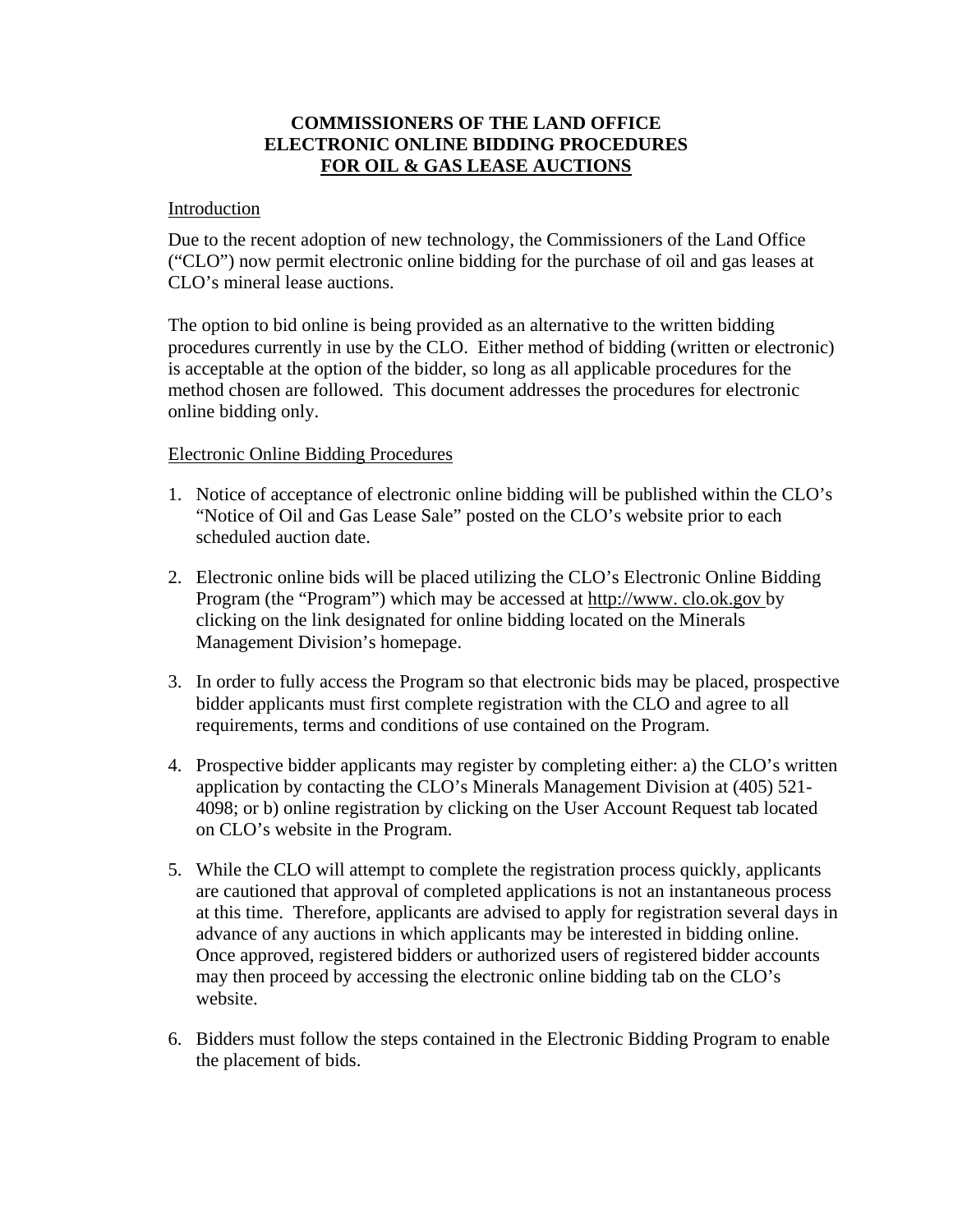## **COMMISSIONERS OF THE LAND OFFICE ELECTRONIC ONLINE BIDDING PROCEDURES FOR OIL & GAS LEASE AUCTIONS**

## Introduction

Due to the recent adoption of new technology, the Commissioners of the Land Office ("CLO") now permit electronic online bidding for the purchase of oil and gas leases at CLO's mineral lease auctions.

The option to bid online is being provided as an alternative to the written bidding procedures currently in use by the CLO. Either method of bidding (written or electronic) is acceptable at the option of the bidder, so long as all applicable procedures for the method chosen are followed. This document addresses the procedures for electronic online bidding only.

## Electronic Online Bidding Procedures

- 1. Notice of acceptance of electronic online bidding will be published within the CLO's "Notice of Oil and Gas Lease Sale" posted on the CLO's website prior to each scheduled auction date.
- 2. Electronic online bids will be placed utilizing the CLO's Electronic Online Bidding Program (the "Program") which may be accessed at http://www. clo.ok.gov by clicking on the link designated for online bidding located on the Minerals Management Division's homepage.
- 3. In order to fully access the Program so that electronic bids may be placed, prospective bidder applicants must first complete registration with the CLO and agree to all requirements, terms and conditions of use contained on the Program.
- 4. Prospective bidder applicants may register by completing either: a) the CLO's written application by contacting the CLO's Minerals Management Division at (405) 521- 4098; or b) online registration by clicking on the User Account Request tab located on CLO's website in the Program.
- 5. While the CLO will attempt to complete the registration process quickly, applicants are cautioned that approval of completed applications is not an instantaneous process at this time. Therefore, applicants are advised to apply for registration several days in advance of any auctions in which applicants may be interested in bidding online. Once approved, registered bidders or authorized users of registered bidder accounts may then proceed by accessing the electronic online bidding tab on the CLO's website.
- 6. Bidders must follow the steps contained in the Electronic Bidding Program to enable the placement of bids.